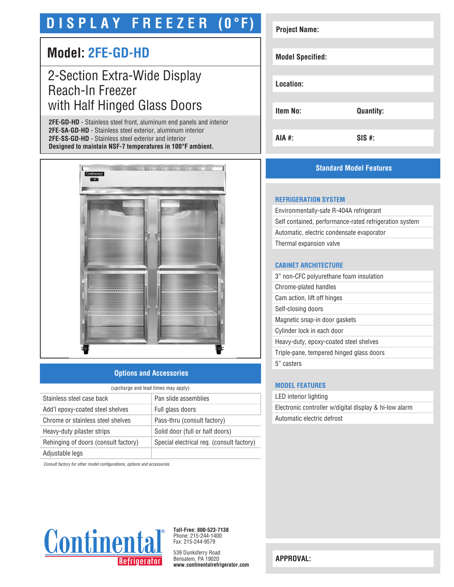# **D I S P L A Y F R E E Z E R (0°F)**

# **Model: 2FE-GD-HD**

# 2-Section Extra-Wide Display Reach-In Freezer with Half Hinged Glass Doors

**2FE-GD-HD** - Stainless steel front, aluminum end panels and interior **2FE-SA-GD-HD** - Stainless steel exterior, aluminum interior **2FE-SS-GD-HD** - Stainless steel exterior and interior **Designed to maintain NSF-7 temperatures in 100°F ambient.**



# **Options and Accessories**

| (upcharge and lead times may apply)  |                                           |  |
|--------------------------------------|-------------------------------------------|--|
| Stainless steel case back            | Pan slide assemblies                      |  |
| Add'l epoxy-coated steel shelves     | Full glass doors                          |  |
| Chrome or stainless steel shelves    | Pass-thru (consult factory)               |  |
| Heavy-duty pilaster strips           | Solid door (full or half doors)           |  |
| Rehinging of doors (consult factory) | Special electrical req. (consult factory) |  |
| Adjustable legs                      |                                           |  |

*Consult factory for other model configurations, options and accessories.*



**Toll-Free: 800-523-7138** Phone: 215-244-1400 Fax: 215-244-9579

539 Dunksferry Road Bensalem, PA 19020 **www.continentalrefrigerator.com** 

| <b>Project Name:</b>    |                  |
|-------------------------|------------------|
|                         |                  |
| <b>Model Specified:</b> |                  |
|                         |                  |
|                         |                  |
| Location:               |                  |
|                         |                  |
| <b>Item No:</b>         | <b>Quantity:</b> |
|                         |                  |
|                         |                  |
| AIA #:                  | $SIS$ #:         |

# **Standard Model Features**

#### **REFRIGERATION SYSTEM**

Environmentally-safe R-404A refrigerant Self contained, performance-rated refrigeration system Automatic, electric condensate evaporator Thermal expansion valve

## **CABINET ARCHITECTURE**

| 3" non-CFC polyurethane foam insulation  |
|------------------------------------------|
| Chrome-plated handles                    |
| Cam action, lift off hinges              |
| Self-closing doors                       |
| Magnetic snap-in door gaskets            |
| Cylinder lock in each door               |
| Heavy-duty, epoxy-coated steel shelves   |
| Triple-pane, tempered hinged glass doors |
| 5" casters                               |
|                                          |

### **MODEL FEATURES**

LED interior lighting Electronic controller w/digital display & hi-low alarm Automatic electric defrost

**APPROVAL:**